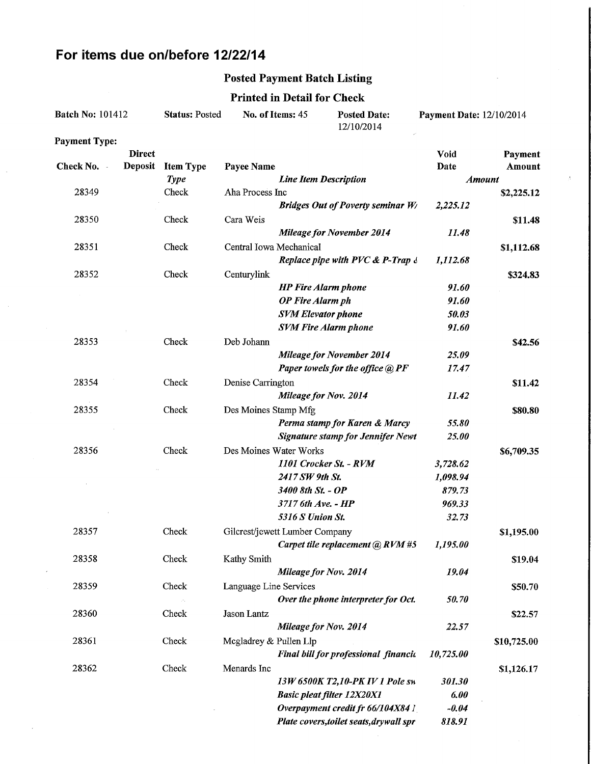# For items due on/before 12/22/14

### Posted Payment Batch Listing

#### Printed in Detail for Check

| <b>Batch No: 101412</b> |               | <b>Status: Posted</b><br>No. of Items: 45 |                                | <b>Posted Date:</b><br>12/10/2014 | <b>Payment Date: 12/10/2014</b>          |                    |               |
|-------------------------|---------------|-------------------------------------------|--------------------------------|-----------------------------------|------------------------------------------|--------------------|---------------|
| <b>Payment Type:</b>    |               |                                           |                                |                                   |                                          |                    |               |
|                         | <b>Direct</b> |                                           |                                |                                   |                                          | <b>Void</b>        | Payment       |
| Check No.               | Deposit       | <b>Item Type</b>                          | Payee Name                     |                                   |                                          | Date               | Amount        |
|                         |               | <b>Type</b>                               |                                | <b>Line Item Description</b>      |                                          |                    | <b>Amount</b> |
| 28349                   |               | Check                                     | Aha Process Inc                |                                   |                                          |                    | \$2,225.12    |
|                         |               |                                           |                                |                                   | <b>Bridges Out of Poverty seminar W/</b> | 2,225.12           |               |
| 28350                   |               | Check                                     | Cara Weis                      |                                   |                                          |                    | \$11.48       |
|                         |               |                                           |                                |                                   | <b>Mileage for November 2014</b>         | 11.48              |               |
| 28351                   |               | Check                                     | Central Iowa Mechanical        |                                   |                                          |                    | \$1,112.68    |
|                         |               |                                           |                                |                                   | Replace pipe with PVC & P-Trap &         | 1,112.68           |               |
| 28352                   |               | Check                                     | Centurylink                    |                                   |                                          |                    | \$324.83      |
|                         |               |                                           |                                | <b>HP</b> Fire Alarm phone        |                                          | 91.60              |               |
|                         |               |                                           |                                | <b>OP</b> Fire Alarm ph           |                                          | 91.60              |               |
|                         |               |                                           |                                | <b>SVM Elevator phone</b>         |                                          | 50.03              |               |
|                         |               |                                           |                                |                                   | <b>SVM Fire Alarm phone</b>              | 91.60              |               |
| 28353                   |               | Check                                     | Deb Johann                     |                                   |                                          |                    | \$42.56       |
|                         |               |                                           |                                |                                   | <b>Mileage for November 2014</b>         | 25.09              |               |
|                         |               |                                           |                                |                                   | Paper towels for the office @ PF         | 17.47              |               |
| 28354                   |               | Check                                     | Denise Carrington              |                                   |                                          |                    | \$11.42       |
|                         |               |                                           |                                |                                   | <b>Mileage for Nov. 2014</b>             | 11.42              |               |
| 28355                   |               | Check                                     | Des Moines Stamp Mfg           |                                   |                                          |                    | \$80.80       |
|                         |               |                                           |                                |                                   | Perma stamp for Karen & Marcy            | 55.80              |               |
|                         |               |                                           |                                |                                   | <b>Signature stamp for Jennifer Newt</b> | 25.00              |               |
| 28356                   |               | Check                                     | Des Moines Water Works         |                                   | 1101 Crocker St. - RVM                   |                    | \$6,709.35    |
|                         |               |                                           |                                | 2417 SW 9th St.                   |                                          | 3,728.62           |               |
|                         |               |                                           |                                | 3400 8th St. - OP                 |                                          | 1,098.94<br>879.73 |               |
|                         |               |                                           |                                | 3717 6th Ave. - HP                |                                          | 969.33             |               |
|                         |               |                                           |                                | 5316 S Union St.                  |                                          | 32.73              |               |
| 28357                   |               | Check                                     | Gilcrest/jewett Lumber Company |                                   |                                          |                    |               |
|                         |               |                                           |                                |                                   | Carpet tile replacement @ RVM #5         | 1,195.00           | \$1,195.00    |
| 28358                   |               | Check                                     | Kathy Smith                    |                                   |                                          |                    |               |
|                         |               |                                           |                                | Mileage for Nov. 2014             |                                          | 19.04              | \$19.04       |
| 28359                   |               | Check                                     |                                |                                   |                                          |                    |               |
|                         |               |                                           | Language Line Services         |                                   | Over the phone interpreter for Oct.      | 50.70              | \$50.70       |
| 28360                   |               | Check                                     | Jason Lantz                    |                                   |                                          |                    |               |
|                         |               |                                           |                                | <b>Mileage for Nov. 2014</b>      |                                          | 22.57              | \$22.57       |
|                         |               |                                           |                                |                                   |                                          |                    |               |
| 28361                   |               | Check                                     | Mcgladrey & Pullen Llp         |                                   | Final bill for professional financia     |                    | \$10,725.00   |
|                         |               |                                           |                                |                                   |                                          | 10,725.00          |               |
| 28362                   |               | Check                                     | Menards Inc                    |                                   | 13W 6500K T2,10-PK IV 1 Pole sw          | 301.30             | \$1,126.17    |
|                         |               |                                           |                                |                                   | <b>Basic pleat filter 12X20X1</b>        | 6.00               |               |
|                         |               |                                           |                                |                                   | Overpayment credit fr 66/104X84 1        | $-0.04$            |               |
|                         |               |                                           |                                |                                   | Plate covers, toilet seats, drywall spr  | 818.91             |               |
|                         |               |                                           |                                |                                   |                                          |                    |               |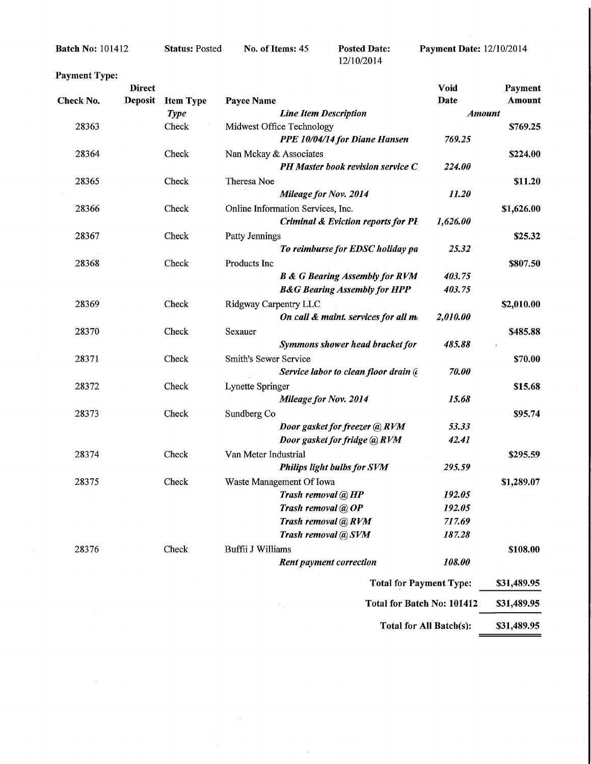Batch No: 101412

 $\bar{z}$ 

Status: Posted

No. of Items: 45 Posted Date:

12/10/2014

**Payment Date: 12/10/2014** 

| <b>Payment Type:</b> |                          |                  |                                               |                         |                   |
|----------------------|--------------------------|------------------|-----------------------------------------------|-------------------------|-------------------|
| Check No.            | <b>Direct</b><br>Deposit | <b>Item Type</b> |                                               | <b>Void</b><br>Date     | Payment<br>Amount |
|                      |                          | <b>Type</b>      | Payee Name<br><b>Line Item Description</b>    | <b>Amount</b>           |                   |
| 28363                |                          | Check            | Midwest Office Technology                     |                         | \$769.25          |
|                      |                          |                  | PPE 10/04/14 for Diane Hansen                 | 769.25                  |                   |
| 28364                |                          | Check            | Nan Mckay & Associates                        |                         | \$224.00          |
|                      |                          |                  | PH Master book revision service C.            | 224.00                  |                   |
| 28365                |                          | Check            | Theresa Noe                                   |                         | \$11.20           |
|                      |                          |                  | Mileage for Nov. 2014                         | 11.20                   |                   |
| 28366                |                          | Check            | Online Information Services, Inc.             |                         | \$1,626.00        |
|                      |                          |                  | <b>Criminal &amp; Eviction reports for PI</b> | 1,626.00                |                   |
| 28367                |                          | Check            | Patty Jennings                                |                         | \$25.32           |
|                      |                          |                  | To reimburse for EDSC holiday pa              | 25.32                   |                   |
| 28368                |                          | Check            | Products Inc                                  |                         | \$807.50          |
|                      |                          |                  | <b>B &amp; G Bearing Assembly for RVM</b>     | 403.75                  |                   |
|                      |                          |                  | <b>B&amp;G Bearing Assembly for HPP</b>       | 403.75                  |                   |
| 28369                |                          | Check            | Ridgway Carpentry LLC                         |                         | \$2,010.00        |
|                      |                          |                  | On call & maint. services for all me          | 2,010.00                |                   |
| 28370                |                          | Check            | Sexauer                                       |                         | \$485.88          |
|                      |                          |                  | Symmons shower head bracket for               | 485.88                  |                   |
| 28371                |                          | Check            | Smith's Sewer Service                         |                         | \$70.00           |
|                      |                          |                  | Service labor to clean floor drain (          | 70.00                   |                   |
| 28372                |                          | Check            | Lynette Springer                              |                         | \$15.68           |
|                      |                          |                  | Mileage for Nov. 2014                         | 15.68                   |                   |
| 28373                |                          | Check            | Sundberg Co                                   |                         | \$95.74           |
|                      |                          |                  | Door gasket for freezer @ RVM                 | 53.33                   |                   |
|                      |                          |                  | Door gasket for fridge @ RVM                  | 42.41                   |                   |
| 28374                |                          | Check            | Van Meter Industrial                          |                         | \$295.59          |
|                      |                          |                  | Philips light bulbs for SVM                   | 295.59                  |                   |
| 28375                |                          | Check            | Waste Management Of Iowa                      |                         | \$1,289.07        |
|                      |                          |                  | Trash removal @ HP                            | 192.05                  |                   |
|                      |                          |                  | Trash removal @ OP                            | <i><b>192.05</b></i>    |                   |
|                      |                          |                  | Trash removal @RVM                            | 717.69                  |                   |
|                      |                          |                  | Trash removal @ SVM                           | 187.28                  |                   |
| 28376                |                          | Check            | Buffii J Williams                             |                         | \$108.00          |
|                      |                          |                  | <b>Rent payment correction</b>                | 108.00                  |                   |
|                      |                          |                  | <b>Total for Payment Type:</b>                |                         | \$31,489.95       |
|                      |                          |                  | Total for Batch No: 101412                    |                         | \$31,489.95       |
|                      |                          |                  |                                               | Total for All Batch(s): | \$31,489.95       |

 $\overline{\phantom{a}}$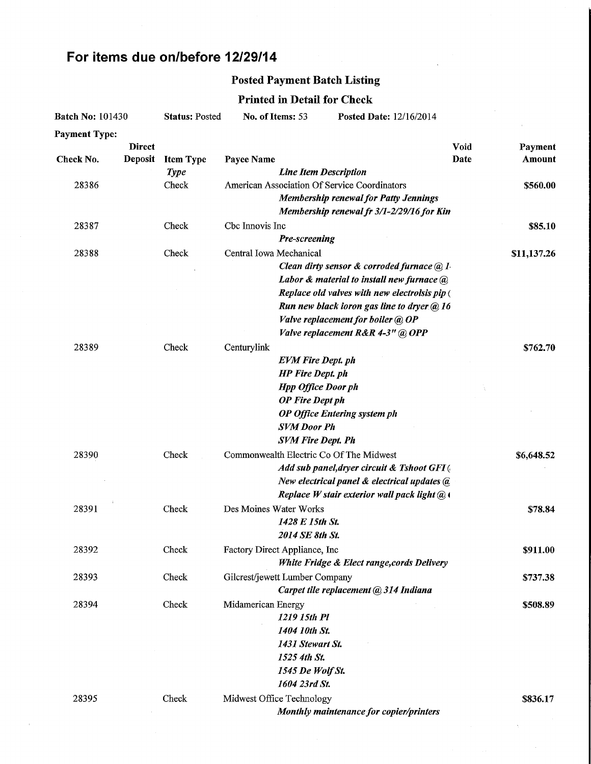## For items due on/before 12/29/14

 $\mathcal{A}^{\pm}$ 

# Posted Payment Batch Listing

## Printed in Detail for Check

| <b>Batch No: 101430</b> |                          | <b>Status: Posted</b> | No. of Items: 53                             | Posted Date: 12/16/2014                       |              |                   |
|-------------------------|--------------------------|-----------------------|----------------------------------------------|-----------------------------------------------|--------------|-------------------|
| <b>Payment Type:</b>    |                          |                       |                                              |                                               |              |                   |
| Check No.               | Direct<br><b>Deposit</b> | <b>Item Type</b>      | Payee Name                                   |                                               | Void<br>Date | Payment<br>Amount |
|                         |                          | <b>Type</b>           | <b>Line Item Description</b>                 |                                               |              |                   |
| 28386                   |                          | Check                 | American Association Of Service Coordinators |                                               |              | \$560.00          |
|                         |                          |                       |                                              | <b>Membership renewal for Patty Jennings</b>  |              |                   |
|                         |                          |                       |                                              | Membership renewal fr 3/1-2/29/16 for Kin     |              |                   |
| 28387                   |                          | Check                 | Cbc Innovis Inc                              |                                               |              | \$85.10           |
|                         |                          |                       | Pre-screening                                |                                               |              |                   |
| 28388                   |                          | Check                 | Central Iowa Mechanical                      |                                               |              | \$11,137.26       |
|                         |                          |                       |                                              | Clean dirty sensor & corroded furnace $@1$    |              |                   |
|                         |                          |                       |                                              | Labor & material to install new furnace @     |              |                   |
|                         |                          |                       |                                              | Replace old valves with new electrolsis pip ( |              |                   |
|                         |                          |                       |                                              | Run new black ioron gas line to dryer @ 16    |              |                   |
|                         |                          |                       | Valve replacement for boiler @ OP            |                                               |              |                   |
|                         |                          |                       | Valve replacement R&R 4-3" @ OPP             |                                               |              |                   |
| 28389                   |                          | Check                 | Centurylink                                  |                                               |              | \$762.70          |
|                         |                          |                       | <b>EVM Fire Dept. ph</b>                     |                                               |              |                   |
|                         |                          |                       | <b>HP</b> Fire Dept. ph                      |                                               |              |                   |
|                         |                          |                       | <b>Hpp Office Door ph</b>                    |                                               |              |                   |
|                         |                          |                       | <b>OP</b> Fire Dept ph                       |                                               |              |                   |
|                         |                          |                       | <b>OP Office Entering system ph</b>          |                                               |              |                   |
|                         |                          |                       | <b>SVM Door Ph</b>                           |                                               |              |                   |
|                         |                          |                       | <b>SVM Fire Dept. Ph</b>                     |                                               |              |                   |
| 28390                   |                          | Check                 | Commonwealth Electric Co Of The Midwest      |                                               |              | \$6,648.52        |
|                         |                          |                       |                                              | Add sub panel, dryer circuit & Tshoot GFI(    |              |                   |
|                         |                          |                       |                                              | New electrical panel & electrical updates @   |              |                   |
|                         |                          |                       |                                              | Replace W stair exterior wall pack light @ \  |              |                   |
| 28391                   |                          | Check                 | Des Moines Water Works                       |                                               |              | \$78.84           |
|                         |                          |                       | 1428 E 15th St.                              |                                               |              |                   |
|                         |                          |                       | 2014 SE 8th St.                              |                                               |              |                   |
| 28392                   |                          | Check                 | Factory Direct Appliance, Inc.               |                                               |              | \$911.00          |
|                         |                          |                       |                                              | White Fridge & Elect range, cords Delivery    |              |                   |
| 28393                   |                          | Check                 | Gilcrest/jewett Lumber Company               |                                               |              | \$737.38          |
|                         |                          |                       |                                              | Carpet tile replacement @ 314 Indiana         |              |                   |
| 28394                   |                          | Check                 | Midamerican Energy                           |                                               |              | \$508.89          |
|                         |                          |                       | 1219 15th Pl                                 |                                               |              |                   |
|                         |                          |                       | 1404 10th St.                                |                                               |              |                   |
|                         |                          |                       | 1431 Stewart St.                             |                                               |              |                   |
|                         |                          |                       | 1525 4th St.                                 |                                               |              |                   |
|                         |                          |                       | 1545 De Wolf St.                             |                                               |              |                   |
|                         |                          |                       | 1604 23rd St.                                |                                               |              |                   |
|                         |                          |                       |                                              |                                               |              |                   |
| 28395                   |                          | Check                 | Midwest Office Technology                    |                                               |              | \$836.17          |
|                         |                          |                       |                                              | Monthly maintenance for copier/printers       |              |                   |

 $\Delta \phi = 0.0000$  . We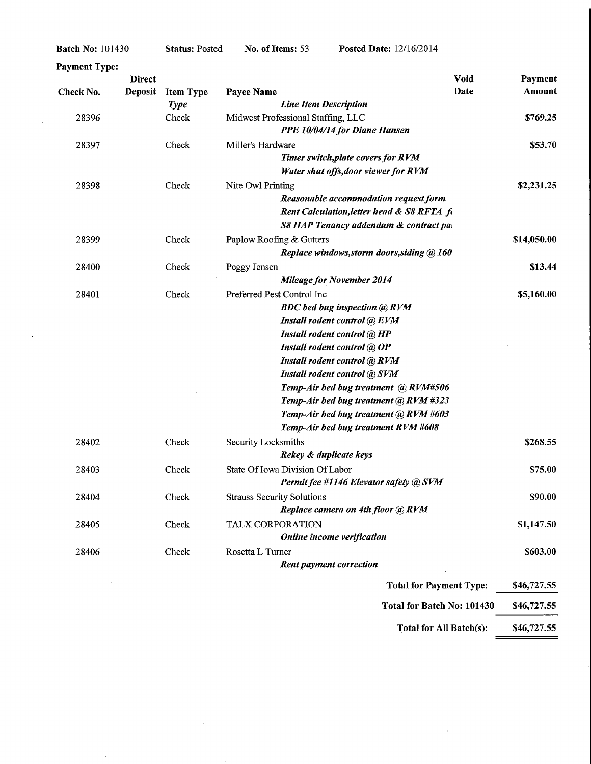| <b>Payment Type:</b> | <b>Direct</b>  |                                 | Void                                                                                                                                                                                                                                                                                                                                                                                            | Payment     |
|----------------------|----------------|---------------------------------|-------------------------------------------------------------------------------------------------------------------------------------------------------------------------------------------------------------------------------------------------------------------------------------------------------------------------------------------------------------------------------------------------|-------------|
| Check No.            | <b>Deposit</b> | <b>Item Type</b><br><b>Type</b> | Date<br>Payee Name<br><b>Line Item Description</b>                                                                                                                                                                                                                                                                                                                                              | Amount      |
| 28396                |                | Check                           | Midwest Professional Staffing, LLC<br>PPE 10/04/14 for Diane Hansen                                                                                                                                                                                                                                                                                                                             | \$769.25    |
| 28397                |                | Check                           | Miller's Hardware<br>Timer switch, plate covers for RVM<br>Water shut offs, door viewer for RVM                                                                                                                                                                                                                                                                                                 | \$53.70     |
| 28398                |                | Check                           | Nite Owl Printing<br>Reasonable accommodation request form<br>Rent Calculation, letter head & S8 RFTA fi<br>S8 HAP Tenancy addendum & contract pai                                                                                                                                                                                                                                              | \$2,231.25  |
| 28399                |                | Check                           | Paplow Roofing & Gutters<br>Replace windows, storm doors, siding @ 160                                                                                                                                                                                                                                                                                                                          | \$14,050.00 |
| 28400                |                | Check                           | Peggy Jensen<br><b>Mileage for November 2014</b>                                                                                                                                                                                                                                                                                                                                                | \$13.44     |
| 28401                |                | Check                           | Preferred Pest Control Inc<br><b>BDC</b> bed bug inspection @ RVM<br>Install rodent control @ EVM<br>Install rodent control @ HP<br>Install rodent control @ OP<br>Install rodent control @ RVM<br>Install rodent control @ SVM<br>Temp-Air bed bug treatment @RVM#506<br>Temp-Air bed bug treatment @ RVM #323<br>Temp-Air bed bug treatment @ RVM #603<br>Temp-Air bed bug treatment RVM #608 | \$5,160.00  |
| 28402                |                | Check                           | Security Locksmiths<br>Rekey & duplicate keys                                                                                                                                                                                                                                                                                                                                                   | \$268.55    |
| 28403                |                | Check                           | State Of Iowa Division Of Labor<br>Permit fee #1146 Elevator safety @ SVM                                                                                                                                                                                                                                                                                                                       | \$75.00     |
| 28404                |                | Check                           | <b>Strauss Security Solutions</b><br>Replace camera on 4th floor @ RVM                                                                                                                                                                                                                                                                                                                          | \$90.00     |
| 28405                |                | Check                           | TALX CORPORATION<br>Online income verification                                                                                                                                                                                                                                                                                                                                                  | \$1,147.50  |
| 28406                |                | Check                           | Rosetta L Turner<br>Rent payment correction                                                                                                                                                                                                                                                                                                                                                     | \$603.00    |
|                      |                |                                 | <b>Total for Payment Type:</b>                                                                                                                                                                                                                                                                                                                                                                  | \$46,727.55 |

No. of Items: 53 Posted Date: 12/16/2014

Batch No: 101430

 $\hat{\mathcal{A}}$ 

 $\sim$  $\hat{\boldsymbol{\theta}}$  Status: Posted

Total for Batch No: 101430 \$46,727.55

 $\label{eq:1} \frac{1}{\sqrt{2\pi}}\int_{0}^{\infty}\frac{1}{\sqrt{2\pi}}\left(\frac{1}{\sqrt{2\pi}}\right)^{2\alpha} \frac{dx}{\sqrt{2\pi}}.$ 

Total for All Batch(s):  $$46,727.55$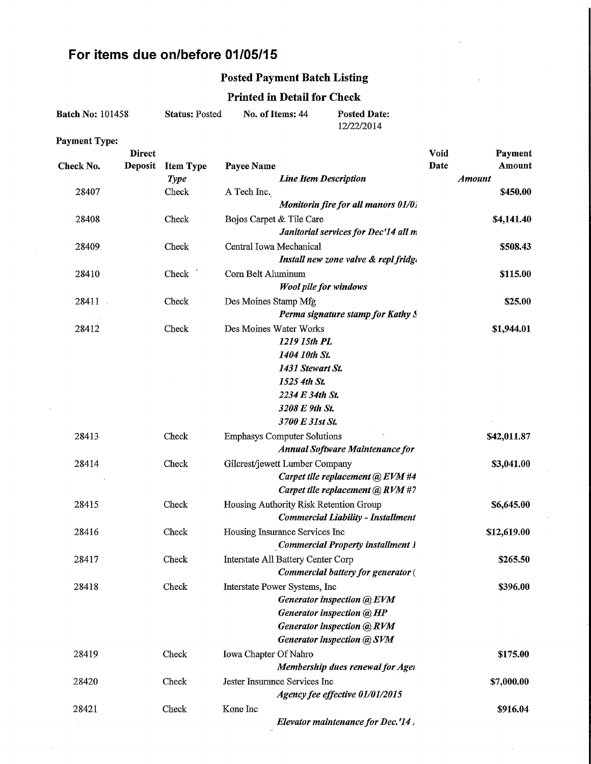### For items due on/before 01/05/15

### Posted Payment Batch Listing

#### Printed in Detail for Check

| <b>Batch No: 101458</b> | <b>Status: Posted</b> | No. of Items: 44 | <b>Posted Date:</b> |
|-------------------------|-----------------------|------------------|---------------------|
|                         |                       |                  | 12/22/2014          |

Payment Type:

|           | <b>Direct</b>  |                  |                                                                          | Void          | Payment     |
|-----------|----------------|------------------|--------------------------------------------------------------------------|---------------|-------------|
| Check No. | <b>Deposit</b> | <b>Item Type</b> | Payee Name                                                               | Date          | Amount      |
|           |                | <b>Type</b>      | <b>Line Item Description</b>                                             | <b>Amount</b> |             |
| 28407     |                | Check            | A Tech Inc.                                                              |               | \$450.00    |
|           |                |                  | Monitorin fire for all manors 01/0.                                      |               |             |
| 28408     |                | Check            | Bojos Carpet & Tile Care                                                 |               | \$4,141.40  |
|           |                |                  | Janitorial services for Dec'14 all m                                     |               |             |
| 28409     |                | Check            | Central Iowa Mechanical<br>Install new zone valve & repl fridge          |               | \$508.43    |
| 28410     |                | Check            | Corn Belt Aluminum                                                       |               | \$115.00    |
|           |                |                  | <b>Wool pile for windows</b>                                             |               |             |
| 28411     |                | Check            | Des Moines Stamp Mfg                                                     |               | \$25.00     |
|           |                |                  | Perma signature stamp for Kathy S                                        |               |             |
| 28412     |                | Check            | Des Moines Water Works                                                   |               | \$1,944.01  |
|           |                |                  | 1219 15th PL                                                             |               |             |
|           |                |                  | 1404 10th St.                                                            |               |             |
|           |                |                  | 1431 Stewart St.                                                         |               |             |
|           |                |                  | 1525 4th St.                                                             |               |             |
|           |                |                  | 2234 E 34th St.                                                          |               |             |
|           |                |                  | 3208 E 9th St.                                                           |               |             |
|           |                |                  | 3700 E 31st St.                                                          |               |             |
| 28413     |                | Check            | <b>Emphasys Computer Solutions</b>                                       |               | \$42,011.87 |
|           |                |                  | <b>Annual Software Maintenance for</b>                                   |               |             |
| 28414     |                | Check            | Gilcrest/jewett Lumber Company                                           |               | \$3,041.00  |
|           |                |                  | Carpet tile replacement @ EVM #4                                         |               |             |
|           |                |                  | Carpet tile replacement @ RVM #7                                         |               |             |
| 28415     |                | Check            | Housing Authority Risk Retention Group                                   |               | \$6,645.00  |
|           |                |                  | Commercial Liability - Installment                                       |               |             |
| 28416     |                | Check            | Housing Insurance Services Inc                                           |               | \$12,619.00 |
|           |                |                  | <b>Commercial Property installment 1</b>                                 |               |             |
| 28417     |                | Check            | Interstate All Battery Center Corp<br>Commercial battery for generator ( |               | \$265.50    |
| 28418     |                | Check            |                                                                          |               | \$396.00    |
|           |                |                  | Interstate Power Systems, Inc<br>Generator inspection @ EVM              |               |             |
|           |                |                  | Generator inspection @ HP                                                |               |             |
|           |                |                  | <b>Generator inspection @ RVM</b>                                        |               |             |
|           |                |                  | <b>Generator inspection @ SVM</b>                                        |               |             |
| 28419     |                | Check            | Iowa Chapter Of Nahro                                                    |               | \$175.00    |
|           |                |                  | Membership dues renewal for Ager                                         |               |             |
| 28420     |                | Check            | Jester Insurance Services Inc                                            |               | \$7,000.00  |
|           |                |                  | Agency fee effective 01/01/2015                                          |               |             |
| 28421     |                | Check            | Kone Inc                                                                 |               | \$916.04    |
|           |                |                  | Elevator maintenance for Dec.'14.                                        |               |             |
|           |                |                  |                                                                          |               |             |

l.